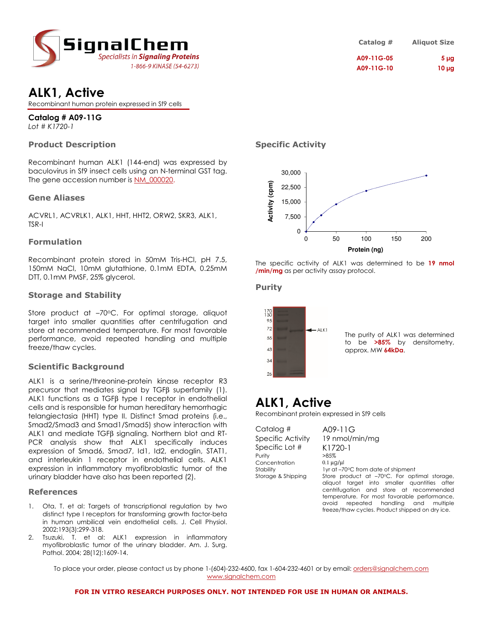

| Catalog $#$ | <b>Aliquot Size</b> |
|-------------|---------------------|
| A09-11G-05  | 5 <sub>µq</sub>     |
| A09-11G-10  | $10 \mu g$          |

# **ALK1, Active**

Recombinant human protein expressed in Sf9 cells

# **Catalog # A09-11G**

*Lot # K1720-1*

# **Product Description**

Recombinant human ALK1 (144-end) was expressed by baculovirus in Sf9 insect cells using an N-terminal GST tag. The gene accession number is NM\_000020.

### **Gene Aliases**

ACVRL1, ACVRLK1, ALK1, HHT, HHT2, ORW2, SKR3, ALK1, TSR-I

### **Formulation**

Recombinant protein stored in 50mM Tris-HCl, pH 7.5, 150mM NaCl, 10mM glutathione, 0.1mM EDTA, 0.25mM DTT, 0.1mM PMSF, 25% glycerol.

### **Storage and Stability**

Store product at -70°C. For optimal storage, aliquot target into smaller quantities after centrifugation and store at recommended temperature. For most favorable performance, avoid repeated handling and multiple freeze/thaw cycles.

# **Scientific Background**

ALK1 is a serine/threonine-protein kinase receptor R3 precursor that mediates signal by TGFβ superfamily (1). ALK1 functions as a TGFβ type I receptor in endothelial cells and is responsible for human hereditary hemorrhagic telangiectasia (HHT) type II. Distinct Smad proteins (i.e., Smad2/Smad3 and Smad1/Smad5) show interaction with ALK1 and mediate TGFβ signaling. Northern blot and RT-PCR analysis show that ALK1 specifically induces expression of Smad6, Smad7, Id1, Id2, endoglin, STAT1, and interleukin 1 receptor in endothelial cells. ALK1 expression in inflammatory myofibroblastic tumor of the urinary bladder have also has been reported (2).

### **References**

- 1. Ota, T. et al: Targets of transcriptional regulation by two distinct type I receptors for transforming growth factor-beta in human umbilical vein endothelial cells. J. Cell Physiol. 2002;193(3):299-318.
- 2. Tsuzuki, T. et al: ALK1 expression in inflammatory myofibroblastic tumor of the urinary bladder. Am. J. Surg. Pathol. 2004; 28(12):1609-14.

# **Specific Activity**



The specific activity of ALK1 was determined to be **19 nmol /min/mg** as per activity assay protocol.

### **Purity**



The purity of ALK1 was determined to be **>85%** by densitometry, approx. MW **64kDa**.

# **ALK1, Active**

Recombinant protein expressed in Sf9 cells

Catalog # A09-11G Specific Activity 19 nmol/min/mg Specific Lot  $\#$  K1720-1 Purity Concentration 0.1 ug/ul

Stability 1yr at –70°C from date of shipment<br>Storage & Shipping Store product at –70°C. For op Store product at –70°C. For optimal storage, aliquot target into smaller quantities after centrifugation and store at recommended temperature. For most favorable performance, avoid repeated handling and multiple freeze/thaw cycles. Product shipped on dry ice.

To place your order, please contact us by phone 1-(604)-232-4600, fax 1-604-232-4601 or by email: <u>orders@signalchem.com</u> www.signalchem.com